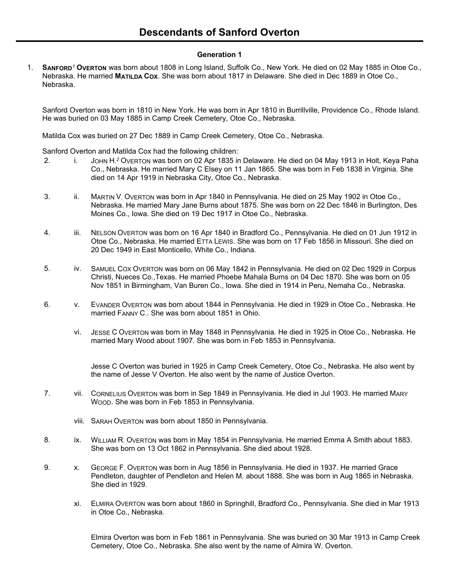# **Generation 1**

1. **SANFORD***<sup>1</sup>* **OVERTON** was born about 1808 in Long Island, Suffolk Co., New York. He died on 02 May 1885 in Otoe Co., Nebraska. He married **MATILDA COX**. She was born about 1817 in Delaware. She died in Dec 1889 in Otoe Co., Nebraska.

Sanford Overton was born in 1810 in New York. He was born in Apr 1810 in Burrillville, Providence Co., Rhode Island. He was buried on 03 May 1885 in Camp Creek Cemetery, Otoe Co., Nebraska.

Matilda Cox was buried on 27 Dec 1889 in Camp Creek Cemetery, Otoe Co., Nebraska.

Sanford Overton and Matilda Cox had the following children:

- 2. i. JOHN H.<sup>2</sup> OVERTON was born on 02 Apr 1835 in Delaware. He died on 04 May 1913 in Holt, Keya Paha Co., Nebraska. He married Mary C Elsey on 11 Jan 1865. She was born in Feb 1838 in Virginia. She died on 14 Apr 1919 in Nebraska City, Otoe Co., Nebraska.
- 3. ii. MARTIN V. OVERTON was born in Apr 1840 in Pennsylvania. He died on 25 May 1902 in Otoe Co., Nebraska. He married Mary Jane Burns about 1875. She was born on 22 Dec 1846 in Burlington, Des Moines Co., Iowa. She died on 19 Dec 1917 in Otoe Co., Nebraska.
- 4. iii. NELSON OVERTON was born on 16 Apr 1840 in Bradford Co., Pennsylvania. He died on 01 Jun 1912 in Otoe Co., Nebraska. He married ETTA LEWIS. She was born on 17 Feb 1856 in Missouri. She died on 20 Dec 1949 in East Monticello, White Co., Indiana.
- 5. iv. SAMUEL COX OVERTON was born on 06 May 1842 in Pennsylvania. He died on 02 Dec 1929 in Corpus Christi, Nueces Co.,Texas. He married Phoebe Mahala Burns on 04 Dec 1870. She was born on 05 Nov 1851 in Birmingham, Van Buren Co., Iowa. She died in 1914 in Peru, Nemaha Co., Nebraska.
- 6. v. EVANDER OVERTON was born about 1844 in Pennsylvania. He died in 1929 in Otoe Co., Nebraska. He married FANNY C.. She was born about 1851 in Ohio.
	- vi. JESSE C OVERTON was born in May 1848 in Pennsylvania. He died in 1925 in Otoe Co., Nebraska. He married Mary Wood about 1907. She was born in Feb 1853 in Pennsylvania.

Jesse C Overton was buried in 1925 in Camp Creek Cemetery, Otoe Co., Nebraska. He also went by the name of Jesse V Overton. He also went by the name of Justice Overton.

- 7. vii. CORNELIUS OVERTON was born in Sep 1849 in Pennsylvania. He died in Jul 1903. He married MARY WOOD. She was born in Feb 1853 in Pennsylvania.
	- viii. SARAH OVERTON was born about 1850 in Pennsylvania.
- 8. ix. WILLIAM R. OVERTON was born in May 1854 in Pennsylvania. He married Emma A Smith about 1883. She was born on 13 Oct 1862 in Pennsylvania. She died about 1928.
- 9. x. GEORGE F. OVERTON was born in Aug 1856 in Pennsylvania. He died in 1937. He married Grace Pendleton, daughter of Pendleton and Helen M. about 1888. She was born in Aug 1865 in Nebraska. She died in 1929.
	- xi. ELMIRA OVERTON was born about 1860 in Springhill, Bradford Co., Pennsylvania. She died in Mar 1913 in Otoe Co., Nebraska.

Elmira Overton was born in Feb 1861 in Pennsylvania. She was buried on 30 Mar 1913 in Camp Creek Cemetery, Otoe Co., Nebraska. She also went by the name of Almira W. Overton.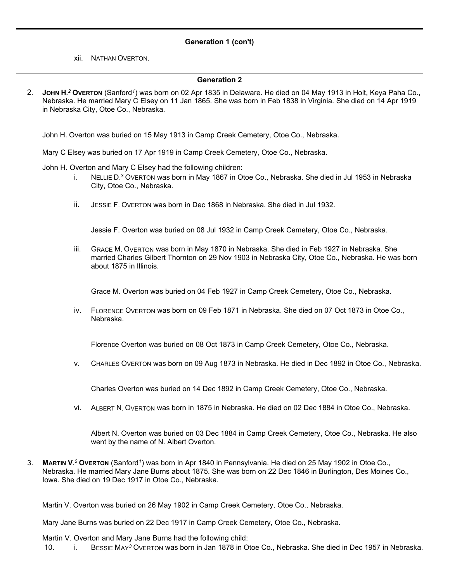## **Generation 1 (con't)**

xii. NATHAN OVERTON.

#### **Generation 2**

2. **JOHN H.** *<sup>2</sup>* **OVERTON** (Sanford*<sup>1</sup>* ) was born on 02 Apr 1835 in Delaware. He died on 04 May 1913 in Holt, Keya Paha Co., Nebraska. He married Mary C Elsey on 11 Jan 1865. She was born in Feb 1838 in Virginia. She died on 14 Apr 1919 in Nebraska City, Otoe Co., Nebraska.

John H. Overton was buried on 15 May 1913 in Camp Creek Cemetery, Otoe Co., Nebraska.

Mary C Elsey was buried on 17 Apr 1919 in Camp Creek Cemetery, Otoe Co., Nebraska.

John H. Overton and Mary C Elsey had the following children:

- i. NELLIE D. *<sup>3</sup>* OVERTON was born in May 1867 in Otoe Co., Nebraska. She died in Jul 1953 in Nebraska City, Otoe Co., Nebraska.
- ii. JESSIE F. OVERTON was born in Dec 1868 in Nebraska. She died in Jul 1932.

Jessie F. Overton was buried on 08 Jul 1932 in Camp Creek Cemetery, Otoe Co., Nebraska.

iii. GRACE M. OVERTON was born in May 1870 in Nebraska. She died in Feb 1927 in Nebraska. She married Charles Gilbert Thornton on 29 Nov 1903 in Nebraska City, Otoe Co., Nebraska. He was born about 1875 in Illinois.

Grace M. Overton was buried on 04 Feb 1927 in Camp Creek Cemetery, Otoe Co., Nebraska.

iv. FLORENCE OVERTON was born on 09 Feb 1871 in Nebraska. She died on 07 Oct 1873 in Otoe Co., Nebraska.

Florence Overton was buried on 08 Oct 1873 in Camp Creek Cemetery, Otoe Co., Nebraska.

v. CHARLES OVERTON was born on 09 Aug 1873 in Nebraska. He died in Dec 1892 in Otoe Co., Nebraska.

Charles Overton was buried on 14 Dec 1892 in Camp Creek Cemetery, Otoe Co., Nebraska.

vi. ALBERT N. OVERTON was born in 1875 in Nebraska. He died on 02 Dec 1884 in Otoe Co., Nebraska.

Albert N. Overton was buried on 03 Dec 1884 in Camp Creek Cemetery, Otoe Co., Nebraska. He also went by the name of N. Albert Overton.

3. **MARTIN V.** *<sup>2</sup>* **OVERTON** (Sanford*<sup>1</sup>* ) was born in Apr 1840 in Pennsylvania. He died on 25 May 1902 in Otoe Co., Nebraska. He married Mary Jane Burns about 1875. She was born on 22 Dec 1846 in Burlington, Des Moines Co., Iowa. She died on 19 Dec 1917 in Otoe Co., Nebraska.

Martin V. Overton was buried on 26 May 1902 in Camp Creek Cemetery, Otoe Co., Nebraska.

Mary Jane Burns was buried on 22 Dec 1917 in Camp Creek Cemetery, Otoe Co., Nebraska.

Martin V. Overton and Mary Jane Burns had the following child:

10. i. BESSIE MAY*<sup>3</sup>* OVERTON was born in Jan 1878 in Otoe Co., Nebraska. She died in Dec 1957 in Nebraska.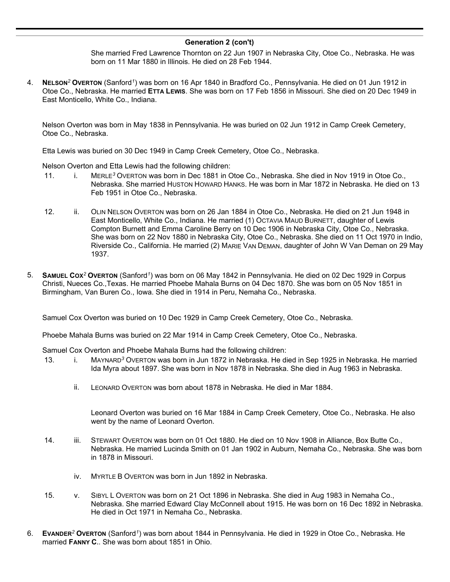#### **Generation 2 (con't)**

She married Fred Lawrence Thornton on 22 Jun 1907 in Nebraska City, Otoe Co., Nebraska. He was born on 11 Mar 1880 in Illinois. He died on 28 Feb 1944.

4. **NELSON***<sup>2</sup>* **OVERTON** (Sanford*<sup>1</sup>* ) was born on 16 Apr 1840 in Bradford Co., Pennsylvania. He died on 01 Jun 1912 in Otoe Co., Nebraska. He married **ETTA LEWIS**. She was born on 17 Feb 1856 in Missouri. She died on 20 Dec 1949 in East Monticello, White Co., Indiana.

Nelson Overton was born in May 1838 in Pennsylvania. He was buried on 02 Jun 1912 in Camp Creek Cemetery, Otoe Co., Nebraska.

Etta Lewis was buried on 30 Dec 1949 in Camp Creek Cemetery, Otoe Co., Nebraska.

Nelson Overton and Etta Lewis had the following children:

- 11. i. MERLE*<sup>3</sup>* OVERTON was born in Dec 1881 in Otoe Co., Nebraska. She died in Nov 1919 in Otoe Co., Nebraska. She married HUSTON HOWARD HANKS. He was born in Mar 1872 in Nebraska. He died on 13 Feb 1951 in Otoe Co., Nebraska.
- 12. ii. OLIN NELSON OVERTON was born on 26 Jan 1884 in Otoe Co., Nebraska. He died on 21 Jun 1948 in East Monticello, White Co., Indiana. He married (1) OCTAVIA MAUD BURNETT, daughter of Lewis Compton Burnett and Emma Caroline Berry on 10 Dec 1906 in Nebraska City, Otoe Co., Nebraska. She was born on 22 Nov 1880 in Nebraska City, Otoe Co., Nebraska. She died on 11 Oct 1970 in Indio, Riverside Co., California. He married (2) MARIE VAN DEMAN, daughter of John W Van Deman on 29 May 1937.
- 5. **SAMUEL COX***<sup>2</sup>* **OVERTON** (Sanford*<sup>1</sup>* ) was born on 06 May 1842 in Pennsylvania. He died on 02 Dec 1929 in Corpus Christi, Nueces Co.,Texas. He married Phoebe Mahala Burns on 04 Dec 1870. She was born on 05 Nov 1851 in Birmingham, Van Buren Co., Iowa. She died in 1914 in Peru, Nemaha Co., Nebraska.

Samuel Cox Overton was buried on 10 Dec 1929 in Camp Creek Cemetery, Otoe Co., Nebraska.

Phoebe Mahala Burns was buried on 22 Mar 1914 in Camp Creek Cemetery, Otoe Co., Nebraska.

Samuel Cox Overton and Phoebe Mahala Burns had the following children:

- 13. i. MAYNARD*<sup>3</sup>* OVERTON was born in Jun 1872 in Nebraska. He died in Sep 1925 in Nebraska. He married Ida Myra about 1897. She was born in Nov 1878 in Nebraska. She died in Aug 1963 in Nebraska.
	- ii. LEONARD OVERTON was born about 1878 in Nebraska. He died in Mar 1884.

Leonard Overton was buried on 16 Mar 1884 in Camp Creek Cemetery, Otoe Co., Nebraska. He also went by the name of Leonard Overton.

- 14. iii. STEWART OVERTON was born on 01 Oct 1880. He died on 10 Nov 1908 in Alliance, Box Butte Co., Nebraska. He married Lucinda Smith on 01 Jan 1902 in Auburn, Nemaha Co., Nebraska. She was born in 1878 in Missouri.
	- iv. MYRTLE B OVERTON was born in Jun 1892 in Nebraska.
- 15. v. SIBYL L OVERTON was born on 21 Oct 1896 in Nebraska. She died in Aug 1983 in Nemaha Co., Nebraska. She married Edward Clay McConnell about 1915. He was born on 16 Dec 1892 in Nebraska. He died in Oct 1971 in Nemaha Co., Nebraska.
- 6. **EVANDER***<sup>2</sup>* **OVERTON** (Sanford*<sup>1</sup>* ) was born about 1844 in Pennsylvania. He died in 1929 in Otoe Co., Nebraska. He married **FANNY C.**. She was born about 1851 in Ohio.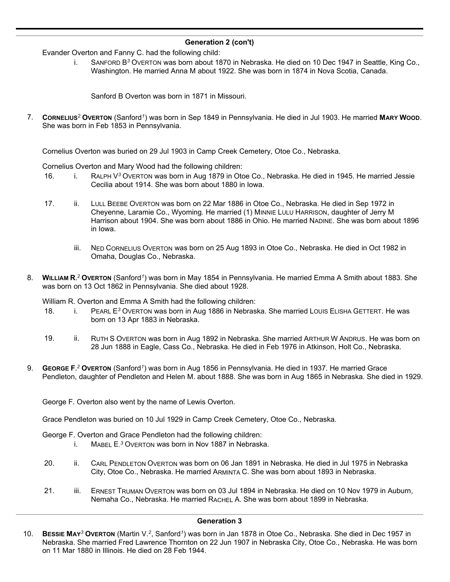# **Generation 2 (con't)**

Evander Overton and Fanny C. had the following child:

i. SANFORD B*<sup>3</sup>* OVERTON was born about 1870 in Nebraska. He died on 10 Dec 1947 in Seattle, King Co., Washington. He married Anna M about 1922. She was born in 1874 in Nova Scotia, Canada.

Sanford B Overton was born in 1871 in Missouri.

7. **CORNELIUS***<sup>2</sup>* **OVERTON** (Sanford*<sup>1</sup>* ) was born in Sep 1849 in Pennsylvania. He died in Jul 1903. He married **MARY WOOD**. She was born in Feb 1853 in Pennsylvania.

Cornelius Overton was buried on 29 Jul 1903 in Camp Creek Cemetery, Otoe Co., Nebraska.

Cornelius Overton and Mary Wood had the following children:

- 16. i. RALPH V*<sup>3</sup>* OVERTON was born in Aug 1879 in Otoe Co., Nebraska. He died in 1945. He married Jessie Cecilia about 1914. She was born about 1880 in Iowa.
- 17. ii. LULL BEEBE OVERTON was born on 22 Mar 1886 in Otoe Co., Nebraska. He died in Sep 1972 in Cheyenne, Laramie Co., Wyoming. He married (1) MINNIE LULU HARRISON, daughter of Jerry M Harrison about 1904. She was born about 1886 in Ohio. He married NADINE. She was born about 1896 in Iowa.
	- iii. NED CORNELIUS OVERTON was born on 25 Aug 1893 in Otoe Co., Nebraska. He died in Oct 1982 in Omaha, Douglas Co., Nebraska.
- 8. **WILLIAM R.** *<sup>2</sup>* **OVERTON** (Sanford*<sup>1</sup>* ) was born in May 1854 in Pennsylvania. He married Emma A Smith about 1883. She was born on 13 Oct 1862 in Pennsylvania. She died about 1928.

William R. Overton and Emma A Smith had the following children:

- 18. i. PEARL E<sup>3</sup> OVERTON was born in Aug 1886 in Nebraska. She married LOUIS ELISHA GETTERT. He was born on 13 Apr 1883 in Nebraska.
- 19. ii. RUTH S OVERTON was born in Aug 1892 in Nebraska. She married ARTHUR W ANDRUS. He was born on 28 Jun 1888 in Eagle, Cass Co., Nebraska. He died in Feb 1976 in Atkinson, Holt Co., Nebraska.
- 9. **GEORGE F.** *<sup>2</sup>* **OVERTON** (Sanford*<sup>1</sup>* ) was born in Aug 1856 in Pennsylvania. He died in 1937. He married Grace Pendleton, daughter of Pendleton and Helen M. about 1888. She was born in Aug 1865 in Nebraska. She died in 1929.

George F. Overton also went by the name of Lewis Overton.

Grace Pendleton was buried on 10 Jul 1929 in Camp Creek Cemetery, Otoe Co., Nebraska.

George F. Overton and Grace Pendleton had the following children:

- i. MABEL E. *<sup>3</sup>* OVERTON was born in Nov 1887 in Nebraska.
- 20. ii. CARL PENDLETON OVERTON was born on 06 Jan 1891 in Nebraska. He died in Jul 1975 in Nebraska City, Otoe Co., Nebraska. He married ARMINTA C. She was born about 1893 in Nebraska.
- 21. iii. ERNEST TRUMAN OVERTON was born on 03 Jul 1894 in Nebraska. He died on 10 Nov 1979 in Auburn, Nemaha Co., Nebraska. He married RACHEL A. She was born about 1899 in Nebraska.

#### **Generation 3**

10. **BESSIE MAY***<sup>3</sup>* **OVERTON** (Martin V.*<sup>2</sup>* , Sanford*<sup>1</sup>* ) was born in Jan 1878 in Otoe Co., Nebraska. She died in Dec 1957 in Nebraska. She married Fred Lawrence Thornton on 22 Jun 1907 in Nebraska City, Otoe Co., Nebraska. He was born on 11 Mar 1880 in Illinois. He died on 28 Feb 1944.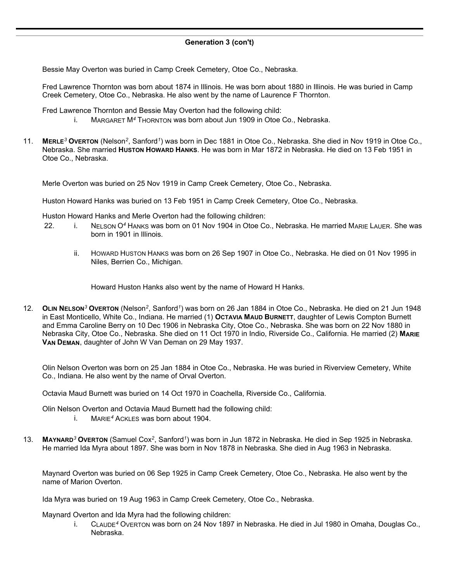# **Generation 3 (con't)**

Bessie May Overton was buried in Camp Creek Cemetery, Otoe Co., Nebraska.

Fred Lawrence Thornton was born about 1874 in Illinois. He was born about 1880 in Illinois. He was buried in Camp Creek Cemetery, Otoe Co., Nebraska. He also went by the name of Laurence F Thornton.

Fred Lawrence Thornton and Bessie May Overton had the following child:

- i. MARGARET M*<sup>4</sup>* THORNTON was born about Jun 1909 in Otoe Co., Nebraska.
- 11. **MERLE***<sup>3</sup>* **OVERTON** (Nelson*<sup>2</sup>* , Sanford*<sup>1</sup>* ) was born in Dec 1881 in Otoe Co., Nebraska. She died in Nov 1919 in Otoe Co., Nebraska. She married **HUSTON HOWARD HANKS**. He was born in Mar 1872 in Nebraska. He died on 13 Feb 1951 in Otoe Co., Nebraska.

Merle Overton was buried on 25 Nov 1919 in Camp Creek Cemetery, Otoe Co., Nebraska.

Huston Howard Hanks was buried on 13 Feb 1951 in Camp Creek Cemetery, Otoe Co., Nebraska.

Huston Howard Hanks and Merle Overton had the following children:

- 22. i. NELSON O*<sup>4</sup>* HANKS was born on 01 Nov 1904 in Otoe Co., Nebraska. He married MARIE LAUER. She was born in 1901 in Illinois.
	- ii. HOWARD HUSTON HANKS was born on 26 Sep 1907 in Otoe Co., Nebraska. He died on 01 Nov 1995 in Niles, Berrien Co., Michigan.

Howard Huston Hanks also went by the name of Howard H Hanks.

12. **OLIN NELSON***<sup>3</sup>* **OVERTON** (Nelson*<sup>2</sup>* , Sanford*<sup>1</sup>* ) was born on 26 Jan 1884 in Otoe Co., Nebraska. He died on 21 Jun 1948 in East Monticello, White Co., Indiana. He married (1) **OCTAVIA MAUD BURNETT**, daughter of Lewis Compton Burnett and Emma Caroline Berry on 10 Dec 1906 in Nebraska City, Otoe Co., Nebraska. She was born on 22 Nov 1880 in Nebraska City, Otoe Co., Nebraska. She died on 11 Oct 1970 in Indio, Riverside Co., California. He married (2) **MARIE VAN DEMAN**, daughter of John W Van Deman on 29 May 1937.

Olin Nelson Overton was born on 25 Jan 1884 in Otoe Co., Nebraska. He was buried in Riverview Cemetery, White Co., Indiana. He also went by the name of Orval Overton.

Octavia Maud Burnett was buried on 14 Oct 1970 in Coachella, Riverside Co., California.

Olin Nelson Overton and Octavia Maud Burnett had the following child:

- i. MARIE*<sup>4</sup>* ACKLES was born about 1904.
- 13. **MAYNARD***<sup>3</sup>* **OVERTON** (Samuel Cox*<sup>2</sup>* , Sanford*<sup>1</sup>* ) was born in Jun 1872 in Nebraska. He died in Sep 1925 in Nebraska. He married Ida Myra about 1897. She was born in Nov 1878 in Nebraska. She died in Aug 1963 in Nebraska.

Maynard Overton was buried on 06 Sep 1925 in Camp Creek Cemetery, Otoe Co., Nebraska. He also went by the name of Marion Overton.

Ida Myra was buried on 19 Aug 1963 in Camp Creek Cemetery, Otoe Co., Nebraska.

Maynard Overton and Ida Myra had the following children:

i. CLAUDE*<sup>4</sup>* OVERTON was born on 24 Nov 1897 in Nebraska. He died in Jul 1980 in Omaha, Douglas Co., Nebraska.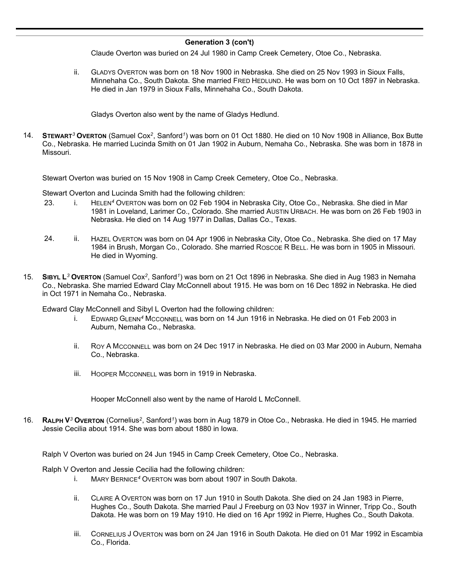### **Generation 3 (con't)**

Claude Overton was buried on 24 Jul 1980 in Camp Creek Cemetery, Otoe Co., Nebraska.

ii. GLADYS OVERTON was born on 18 Nov 1900 in Nebraska. She died on 25 Nov 1993 in Sioux Falls, Minnehaha Co., South Dakota. She married FRED HEDLUND. He was born on 10 Oct 1897 in Nebraska. He died in Jan 1979 in Sioux Falls, Minnehaha Co., South Dakota.

Gladys Overton also went by the name of Gladys Hedlund.

14. **STEWART***<sup>3</sup>* **OVERTON** (Samuel Cox*<sup>2</sup>* , Sanford*<sup>1</sup>* ) was born on 01 Oct 1880. He died on 10 Nov 1908 in Alliance, Box Butte Co., Nebraska. He married Lucinda Smith on 01 Jan 1902 in Auburn, Nemaha Co., Nebraska. She was born in 1878 in Missouri.

Stewart Overton was buried on 15 Nov 1908 in Camp Creek Cemetery, Otoe Co., Nebraska.

Stewart Overton and Lucinda Smith had the following children:

- 23. i. HELEN*<sup>4</sup>* OVERTON was born on 02 Feb 1904 in Nebraska City, Otoe Co., Nebraska. She died in Mar 1981 in Loveland, Larimer Co., Colorado. She married AUSTIN URBACH. He was born on 26 Feb 1903 in Nebraska. He died on 14 Aug 1977 in Dallas, Dallas Co., Texas.
- 24. ii. HAZEL OVERTON was born on 04 Apr 1906 in Nebraska City, Otoe Co., Nebraska. She died on 17 May 1984 in Brush, Morgan Co., Colorado. She married ROSCOE R BELL. He was born in 1905 in Missouri. He died in Wyoming.
- 15. **SIBYL L** *<sup>3</sup>* **OVERTON** (Samuel Cox*<sup>2</sup>* , Sanford*<sup>1</sup>* ) was born on 21 Oct 1896 in Nebraska. She died in Aug 1983 in Nemaha Co., Nebraska. She married Edward Clay McConnell about 1915. He was born on 16 Dec 1892 in Nebraska. He died in Oct 1971 in Nemaha Co., Nebraska.

Edward Clay McConnell and Sibyl L Overton had the following children:

- i. EDWARD GLENN*<sup>4</sup>* MCCONNELL was born on 14 Jun 1916 in Nebraska. He died on 01 Feb 2003 in Auburn, Nemaha Co., Nebraska.
- ii. ROY A MCCONNELL was born on 24 Dec 1917 in Nebraska. He died on 03 Mar 2000 in Auburn, Nemaha Co., Nebraska.
- iii. HOOPER MCCONNELL was born in 1919 in Nebraska.

Hooper McConnell also went by the name of Harold L McConnell.

16. **RALPH V***<sup>3</sup>* **OVERTON** (Cornelius*<sup>2</sup>* , Sanford*<sup>1</sup>* ) was born in Aug 1879 in Otoe Co., Nebraska. He died in 1945. He married Jessie Cecilia about 1914. She was born about 1880 in Iowa.

Ralph V Overton was buried on 24 Jun 1945 in Camp Creek Cemetery, Otoe Co., Nebraska.

Ralph V Overton and Jessie Cecilia had the following children:

- i. MARY BERNICE*<sup>4</sup>* OVERTON was born about 1907 in South Dakota.
- ii. CLAIRE A OVERTON was born on 17 Jun 1910 in South Dakota. She died on 24 Jan 1983 in Pierre, Hughes Co., South Dakota. She married Paul J Freeburg on 03 Nov 1937 in Winner, Tripp Co., South Dakota. He was born on 19 May 1910. He died on 16 Apr 1992 in Pierre, Hughes Co., South Dakota.
- iii. CORNELIUS J OVERTON was born on 24 Jan 1916 in South Dakota. He died on 01 Mar 1992 in Escambia Co., Florida.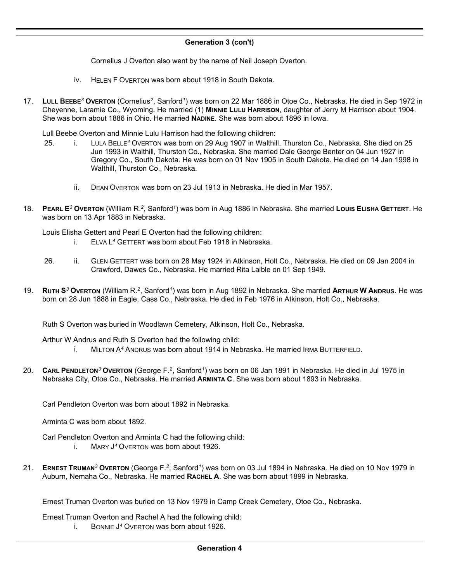# **Generation 3 (con't)**

Cornelius J Overton also went by the name of Neil Joseph Overton.

- iv. HELEN F OVERTON was born about 1918 in South Dakota.
- 17. **LULL BEEBE***<sup>3</sup>* **OVERTON** (Cornelius*<sup>2</sup>* , Sanford*<sup>1</sup>* ) was born on 22 Mar 1886 in Otoe Co., Nebraska. He died in Sep 1972 in Cheyenne, Laramie Co., Wyoming. He married (1) **MINNIE LULU HARRISON**, daughter of Jerry M Harrison about 1904. She was born about 1886 in Ohio. He married **NADINE**. She was born about 1896 in Iowa.

Lull Beebe Overton and Minnie Lulu Harrison had the following children:

- 25. i. LULA BELLE*<sup>4</sup>* OVERTON was born on 29 Aug 1907 in Walthill, Thurston Co., Nebraska. She died on 25 Jun 1993 in Walthill, Thurston Co., Nebraska. She married Dale George Benter on 04 Jun 1927 in Gregory Co., South Dakota. He was born on 01 Nov 1905 in South Dakota. He died on 14 Jan 1998 in Walthill, Thurston Co., Nebraska.
	- ii. DEAN OVERTON was born on 23 Jul 1913 in Nebraska. He died in Mar 1957.
- 18. **PEARL E***<sup>3</sup>* **OVERTON** (William R.*<sup>2</sup>* , Sanford*<sup>1</sup>* ) was born in Aug 1886 in Nebraska. She married **LOUIS ELISHA GETTERT**. He was born on 13 Apr 1883 in Nebraska.

Louis Elisha Gettert and Pearl E Overton had the following children:

- i. ELVA L *<sup>4</sup>* GETTERT was born about Feb 1918 in Nebraska.
- 26. ii. GLEN GETTERT was born on 28 May 1924 in Atkinson, Holt Co., Nebraska. He died on 09 Jan 2004 in Crawford, Dawes Co., Nebraska. He married Rita Laible on 01 Sep 1949.
- 19. **RUTH S***<sup>3</sup>* **OVERTON** (William R.*<sup>2</sup>* , Sanford*<sup>1</sup>* ) was born in Aug 1892 in Nebraska. She married **ARTHUR W ANDRUS**. He was born on 28 Jun 1888 in Eagle, Cass Co., Nebraska. He died in Feb 1976 in Atkinson, Holt Co., Nebraska.

Ruth S Overton was buried in Woodlawn Cemetery, Atkinson, Holt Co., Nebraska.

Arthur W Andrus and Ruth S Overton had the following child:

- MILTON A<sup>4</sup> ANDRUS was born about 1914 in Nebraska. He married IRMA BUTTERFIELD.
- 20. **CARL PENDLETON***<sup>3</sup>* **OVERTON** (George F.*<sup>2</sup>* , Sanford*<sup>1</sup>* ) was born on 06 Jan 1891 in Nebraska. He died in Jul 1975 in Nebraska City, Otoe Co., Nebraska. He married **ARMINTA C**. She was born about 1893 in Nebraska.

Carl Pendleton Overton was born about 1892 in Nebraska.

Arminta C was born about 1892.

Carl Pendleton Overton and Arminta C had the following child:

- i. MARY J *<sup>4</sup>* OVERTON was born about 1926.
- 21. **ERNEST TRUMAN***<sup>3</sup>* **OVERTON** (George F.*<sup>2</sup>* , Sanford*<sup>1</sup>* ) was born on 03 Jul 1894 in Nebraska. He died on 10 Nov 1979 in Auburn, Nemaha Co., Nebraska. He married **RACHEL A**. She was born about 1899 in Nebraska.

Ernest Truman Overton was buried on 13 Nov 1979 in Camp Creek Cemetery, Otoe Co., Nebraska.

Ernest Truman Overton and Rachel A had the following child:

i. BONNIE J *<sup>4</sup>* OVERTON was born about 1926.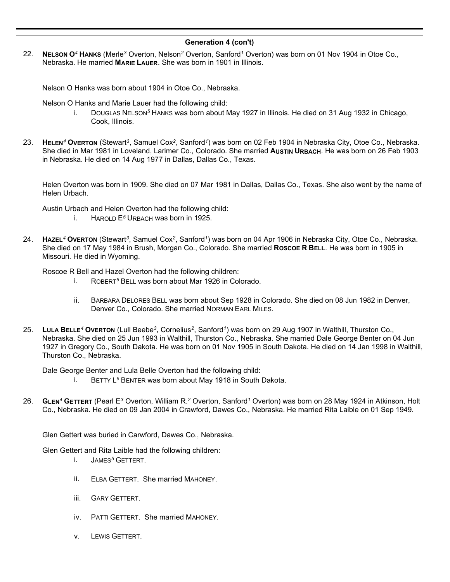### **Generation 4 (con't)**

22. **NELSON O***<sup>4</sup>* **HANKS** (Merle*<sup>3</sup>* Overton, Nelson*<sup>2</sup>* Overton, Sanford*<sup>1</sup>* Overton) was born on 01 Nov 1904 in Otoe Co., Nebraska. He married **MARIE LAUER**. She was born in 1901 in Illinois.

Nelson O Hanks was born about 1904 in Otoe Co., Nebraska.

Nelson O Hanks and Marie Lauer had the following child:

- i. DOUGLAS NELSON*<sup>5</sup>* HANKS was born about May 1927 in Illinois. He died on 31 Aug 1932 in Chicago, Cook, Illinois.
- 23. **HELEN<sup>4</sup> OVERTON** (Stewart<sup>3</sup>, Samuel Cox<sup>2</sup>, Sanford<sup>1</sup>) was born on 02 Feb 1904 in Nebraska City, Otoe Co., Nebraska. She died in Mar 1981 in Loveland, Larimer Co., Colorado. She married **AUSTIN URBACH**. He was born on 26 Feb 1903 in Nebraska. He died on 14 Aug 1977 in Dallas, Dallas Co., Texas.

Helen Overton was born in 1909. She died on 07 Mar 1981 in Dallas, Dallas Co., Texas. She also went by the name of Helen Urbach.

Austin Urbach and Helen Overton had the following child:

- i. HAROLD E*<sup>5</sup>* URBACH was born in 1925.
- 24. **HAZEL***<sup>4</sup>* **OVERTON** (Stewart*<sup>3</sup>* , Samuel Cox*<sup>2</sup>* , Sanford*<sup>1</sup>* ) was born on 04 Apr 1906 in Nebraska City, Otoe Co., Nebraska. She died on 17 May 1984 in Brush, Morgan Co., Colorado. She married **ROSCOE R BELL**. He was born in 1905 in Missouri. He died in Wyoming.

Roscoe R Bell and Hazel Overton had the following children:

- i. ROBERT*<sup>5</sup>* BELL was born about Mar 1926 in Colorado.
- ii. BARBARA DELORES BELL was born about Sep 1928 in Colorado. She died on 08 Jun 1982 in Denver, Denver Co., Colorado. She married NORMAN EARL MILES.
- 25. **LULA BELLE***<sup>4</sup>* **OVERTON** (Lull Beebe*<sup>3</sup>* , Cornelius*<sup>2</sup>* , Sanford*<sup>1</sup>* ) was born on 29 Aug 1907 in Walthill, Thurston Co., Nebraska. She died on 25 Jun 1993 in Walthill, Thurston Co., Nebraska. She married Dale George Benter on 04 Jun 1927 in Gregory Co., South Dakota. He was born on 01 Nov 1905 in South Dakota. He died on 14 Jan 1998 in Walthill, Thurston Co., Nebraska.

Dale George Benter and Lula Belle Overton had the following child:

- i. BETTY L<sup>5</sup> BENTER was born about May 1918 in South Dakota.
- 26. **GLEN***<sup>4</sup>* **GETTERT** (Pearl E*<sup>3</sup>* Overton, William R.*<sup>2</sup>* Overton, Sanford*<sup>1</sup>* Overton) was born on 28 May 1924 in Atkinson, Holt Co., Nebraska. He died on 09 Jan 2004 in Crawford, Dawes Co., Nebraska. He married Rita Laible on 01 Sep 1949.

Glen Gettert was buried in Carwford, Dawes Co., Nebraska.

Glen Gettert and Rita Laible had the following children:

- i. JAMES*<sup>5</sup>* GETTERT.
- ii. ELBA GETTERT. She married MAHONEY.
- iii. GARY GETTERT.
- iv. PATTI GETTERT. She married MAHONEY.
- v. LEWIS GETTERT.